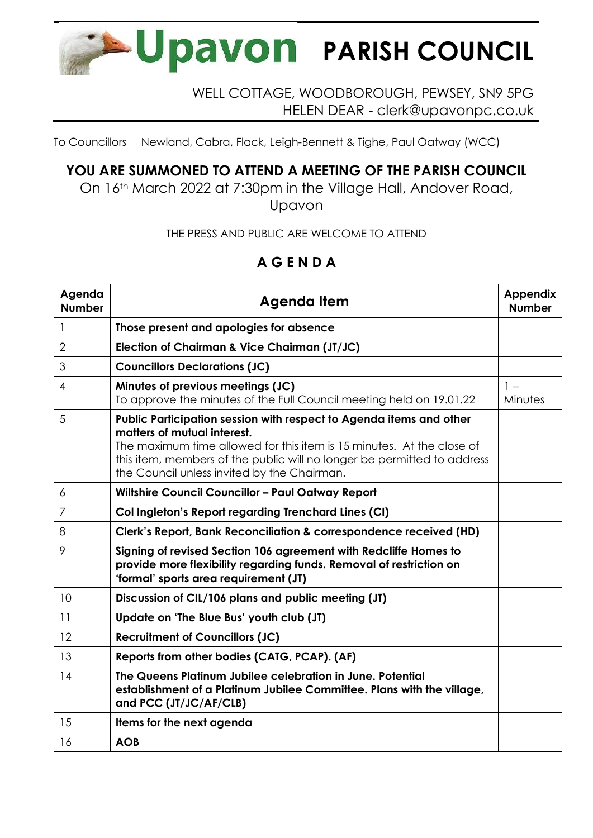

## WELL COTTAGE, WOODBOROUGH, PEWSEY, SN9 5PG HELEN DEAR - clerk@upavonpc.co.uk

To Councillors Newland, Cabra, Flack, Leigh-Bennett & Tighe, Paul Oatway (WCC)

## **YOU ARE SUMMONED TO ATTEND A MEETING OF THE PARISH COUNCIL**

On 16th March 2022 at 7:30pm in the Village Hall, Andover Road, Upavon

THE PRESS AND PUBLIC ARE WELCOME TO ATTEND

## **A G E N D A**

| Agenda<br><b>Number</b> | <b>Agenda Item</b>                                                                                                                                                                                                                                                                                    | <b>Appendix</b><br><b>Number</b> |
|-------------------------|-------------------------------------------------------------------------------------------------------------------------------------------------------------------------------------------------------------------------------------------------------------------------------------------------------|----------------------------------|
| 1                       | Those present and apologies for absence                                                                                                                                                                                                                                                               |                                  |
| $\overline{2}$          | Election of Chairman & Vice Chairman (JT/JC)                                                                                                                                                                                                                                                          |                                  |
| 3                       | <b>Councillors Declarations (JC)</b>                                                                                                                                                                                                                                                                  |                                  |
| 4                       | Minutes of previous meetings (JC)<br>To approve the minutes of the Full Council meeting held on 19.01.22                                                                                                                                                                                              | $1 -$<br>Minutes                 |
| 5                       | Public Participation session with respect to Agenda items and other<br>matters of mutual interest.<br>The maximum time allowed for this item is 15 minutes. At the close of<br>this item, members of the public will no longer be permitted to address<br>the Council unless invited by the Chairman. |                                  |
| 6                       | <b>Wiltshire Council Councillor - Paul Oatway Report</b>                                                                                                                                                                                                                                              |                                  |
| $\overline{7}$          | Col Ingleton's Report regarding Trenchard Lines (CI)                                                                                                                                                                                                                                                  |                                  |
| 8                       | Clerk's Report, Bank Reconciliation & correspondence received (HD)                                                                                                                                                                                                                                    |                                  |
| 9                       | Signing of revised Section 106 agreement with Redcliffe Homes to<br>provide more flexibility regarding funds. Removal of restriction on<br>'formal' sports area requirement (JT)                                                                                                                      |                                  |
| 10                      | Discussion of CIL/106 plans and public meeting (JT)                                                                                                                                                                                                                                                   |                                  |
| 11                      | Update on 'The Blue Bus' youth club (JT)                                                                                                                                                                                                                                                              |                                  |
| 12                      | <b>Recruitment of Councillors (JC)</b>                                                                                                                                                                                                                                                                |                                  |
| 13                      | Reports from other bodies (CATG, PCAP). (AF)                                                                                                                                                                                                                                                          |                                  |
| 14                      | The Queens Platinum Jubilee celebration in June. Potential<br>establishment of a Platinum Jubilee Committee. Plans with the village,<br>and PCC (JT/JC/AF/CLB)                                                                                                                                        |                                  |
| 15                      | Items for the next agenda                                                                                                                                                                                                                                                                             |                                  |
| 16                      | <b>AOB</b>                                                                                                                                                                                                                                                                                            |                                  |